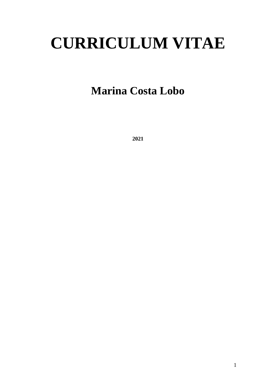# **CURRICULUM VITAE**

## **Marina Costa Lobo**

**2021**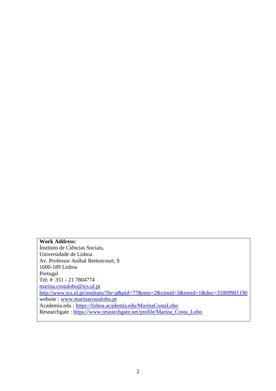#### **Work Address:**

Instituto de Ciências Sociais, Universidade de Lisboa Av. Professor Aníbal Bettencourt, 9 1600-189 Lisboa Portugal Tel: # 351 - 21 7804774 [marina.costalobo@ics.ul.pt](mailto:marina.costalobo@ics.ul.pt) <http://www.ics.ul.pt/instituto/?ln=p&pid=77&mm=2&ctmid=3&mnid=1&doc=31809901190> website : [www.marinacostalobo.pt](http://www.marinacostalobo.pt/) Academia.edu :<https://lisboa.academia.edu/MarinaCostaLobo> Researchgate : [https://www.researchgate.net/profile/Marina\\_Costa\\_Lobo](https://www.researchgate.net/profile/Marina_Costa_Lobo)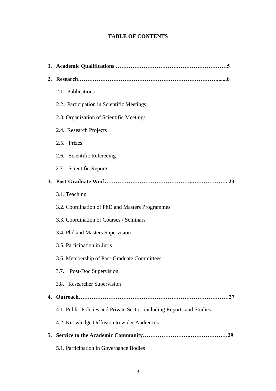#### **TABLE OF CONTENTS**

| 2. |                                                                        |
|----|------------------------------------------------------------------------|
|    | 2.1. Publications                                                      |
|    | 2.2. Participation in Scientific Meetings                              |
|    | 2.3. Organization of Scientific Meetings                               |
|    | 2.4. Research Projects                                                 |
|    | 2.5. Prizes                                                            |
|    | 2.6. Scientific Refereeing                                             |
|    | 2.7. Scientific Reports                                                |
| 3. |                                                                        |
|    | 3.1. Teaching                                                          |
|    | 3.2. Coordination of PhD and Masters Programmes                        |
|    | 3.3. Coordination of Courses / Seminars                                |
|    | 3.4. Phd and Masters Supervision                                       |
|    | 3.5. Participation in Juris                                            |
|    | 3.6. Membership of Post-Graduate Committees                            |
|    | 3.7. Post-Doc Supervision                                              |
|    | 3.8. Researcher Supervision                                            |
| 4. |                                                                        |
|    | 4.1. Public Policies and Private Sector, including Reports and Studies |
|    | 4.2. Knowledge Diffusion to wider Audiences                            |
| 5. |                                                                        |
|    | 5.1. Participation in Governance Bodies                                |

.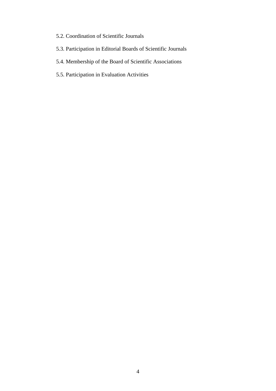- 5.2. Coordination of Scientific Journals
- 5.3. Participation in Editorial Boards of Scientific Journals
- 5.4. Membership of the Board of Scientific Associations
- 5.5. Participation in Evaluation Activities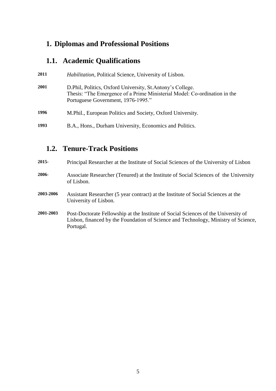## **1. Diplomas and Professional Positions**

## **1.1. Academic Qualifications**

| 2011 | <i>Habilitation, Political Science, University of Lisbon.</i>                                                                                                                  |
|------|--------------------------------------------------------------------------------------------------------------------------------------------------------------------------------|
| 2001 | D. Phil, Politics, Oxford University, St. Antony's College.<br>Thesis: "The Emergence of a Prime Ministerial Model: Co-ordination in the<br>Portuguese Government, 1976-1995." |
| 1996 | M. Phil., European Politics and Society, Oxford University.                                                                                                                    |
| 1993 | B.A., Hons., Durham University, Economics and Politics.                                                                                                                        |

## **1.2. Tenure-Track Positions**

| $2015 -$  | Principal Researcher at the Institute of Social Sciences of the University of Lisbon                                                                                                  |
|-----------|---------------------------------------------------------------------------------------------------------------------------------------------------------------------------------------|
| 2006-     | Associate Researcher (Tenured) at the Institute of Social Sciences of the University<br>of Lisbon.                                                                                    |
| 2003-2006 | Assistant Researcher (5 year contract) at the Institute of Social Sciences at the<br>University of Lisbon.                                                                            |
| 2001-2003 | Post-Doctorate Fellowship at the Institute of Social Sciences of the University of<br>Lisbon, financed by the Foundation of Science and Technology, Ministry of Science,<br>Portugal. |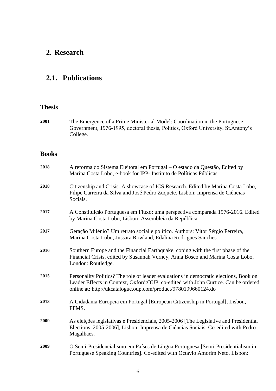## **2. Research**

#### **2.1. Publications**

#### **Thesis**

| 2001 | The Emergence of a Prime Ministerial Model: Coordination in the Portuguese       |
|------|----------------------------------------------------------------------------------|
|      | Government, 1976-1995, doctoral thesis, Politics, Oxford University, St.Antony's |
|      | College.                                                                         |

#### **Books**

| 2018 | A reforma do Sistema Eleitoral em Portugal – O estado da Questão, Edited by<br>Marina Costa Lobo, e-book for IPP- Instituto de Políticas Públicas.                                                                                             |
|------|------------------------------------------------------------------------------------------------------------------------------------------------------------------------------------------------------------------------------------------------|
| 2018 | Citizenship and Crisis. A showcase of ICS Research. Edited by Marina Costa Lobo,<br>Filipe Carreira da Silva and José Pedro Zuquete. Lisbon: Imprensa de Ciências<br>Sociais.                                                                  |
| 2017 | A Constituição Portuguesa em Fluxo: uma perspectiva comparada 1976-2016. Edited<br>by Marina Costa Lobo, Lisbon: Assembleia da República.                                                                                                      |
| 2017 | Geração Milénio? Um retrato social e político. Authors: Vitor Sérgio Ferreira,<br>Marina Costa Lobo, Jussara Rowland, Edalina Rodrigues Sanches.                                                                                               |
| 2016 | Southern Europe and the Financial Earthquake, coping with the first phase of the<br>Financial Crisis, edited by Susannah Verney, Anna Bosco and Marina Costa Lobo,<br>London: Routledge.                                                       |
| 2015 | Personality Politics? The role of leader evaluations in democratic elections, Book on<br>Leader Effects in Context, Oxford: OUP, co-edited with John Curtice. Can be ordered<br>online at: http://ukcatalogue.oup.com/product/9780199660124.do |
| 2013 | A Cidadania Europeia em Portugal [European Citizenship in Portugal], Lisbon,<br>FFMS.                                                                                                                                                          |
| 2009 | As eleições legislativas e Presidenciais, 2005-2006 [The Legislative and Presidential<br>Elections, 2005-2006], Lisbon: Imprensa de Ciências Sociais. Co-edited with Pedro<br>Magalhães.                                                       |
| 2009 | O Semi-Presidencialismo em Países de Língua Portuguesa [Semi-Presidentialism in<br>Portuguese Speaking Countries]. Co-edited with Octavio Amorim Neto, Lisbon:                                                                                 |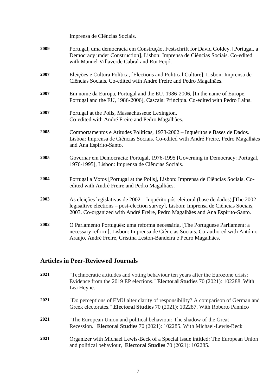|      | Imprensa de Ciências Sociais.                                                                                                                                                                                                                                  |
|------|----------------------------------------------------------------------------------------------------------------------------------------------------------------------------------------------------------------------------------------------------------------|
| 2009 | Portugal, uma democracia em Construção, Festschrift for David Goldey. [Portugal, a<br>Democracy under Construction], Lisbon: Imprensa de Ciências Sociais. Co-edited<br>with Manuel Villaverde Cabral and Rui Feijó.                                           |
| 2007 | Eleições e Cultura Política, [Elections and Political Culture], Lisbon: Imprensa de<br>Ciências Sociais. Co-edited with André Freire and Pedro Magalhães.                                                                                                      |
| 2007 | Em nome da Europa, Portugal and the EU, 1986-2006, [In the name of Europe,<br>Portugal and the EU, 1986-2006], Cascais: Principia. Co-edited with Pedro Lains.                                                                                                 |
| 2007 | Portugal at the Polls, Massachussets: Lexington.<br>Co-edited with André Freire and Pedro Magalhães.                                                                                                                                                           |
| 2005 | Comportamentos e Atitudes Políticas, 1973-2002 - Inquéritos e Bases de Dados.<br>Lisboa: Imprensa de Ciências Sociais. Co-edited with André Freire, Pedro Magalhães<br>and Ana Espírito-Santo.                                                                 |
| 2005 | Governar em Democracia: Portugal, 1976-1995 [Governing in Democracy: Portugal,<br>1976-1995], Lisbon: Imprensa de Ciências Sociais.                                                                                                                            |
| 2004 | Portugal a Votos [Portugal at the Polls], Lisbon: Imprensa de Ciências Sociais. Co-<br>edited with André Freire and Pedro Magalhães.                                                                                                                           |
| 2003 | As eleições legislativas de 2002 - Inquérito pós-eleitoral (base de dados), [The 2002<br>legisaltive elections – post-election survey], Lisbon: Imprensa de Ciências Sociais,<br>2003. Co-organized with André Freire, Pedro Magalhães and Ana Espírito-Santo. |
| 2002 | O Parlamento Português: uma reforma necessária, [The Portuguese Parliament: a<br>necessary reform], Lisbon: Imprensa de Ciências Sociais. Co-authored with António<br>Araújo, André Freire, Cristina Leston-Bandeira e Pedro Magalhães.                        |

#### **Articles in Peer-Reviewed Journals**

| 2021 | "Technocratic attitudes and voting behaviour ten years after the Eurozone crisis:<br>Evidence from the 2019 EP elections." Electoral Studies 70 (2021): 102288. With<br>Lea Heyne. |
|------|------------------------------------------------------------------------------------------------------------------------------------------------------------------------------------|
| 2021 | "Do perceptions of EMU alter clarity of responsibility? A comparison of German and<br>Greek electorates." Electoral Studies 70 (2021): 102287. With Roberto Pannico                |
| 2021 | "The European Union and political behaviour: The shadow of the Great<br>Recession." Electoral Studies 70 (2021): 102285. With Michael-Lewis-Beck                                   |
| 2021 | Organizer with Michael Lewis-Beck of a Special Issue intitled: The European Union<br>and political behaviour, Electoral Studies 70 (2021): 102285.                                 |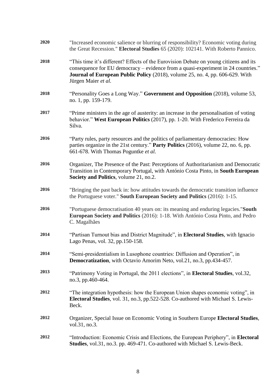| 2020 | "Increased economic salience or blurring of responsibility? Economic voting during<br>the Great Recession." Electoral Studies 65 (2020): 102141. With Roberto Pannico.                                                                                                             |
|------|------------------------------------------------------------------------------------------------------------------------------------------------------------------------------------------------------------------------------------------------------------------------------------|
| 2018 | "This time it's different? Effects of the Eurovision Debate on young citizens and its<br>consequence for EU democracy – evidence from a quasi-experiment in 24 countries."<br>Journal of European Public Policy (2018), volume 25, no. 4, pp. 606-629. With<br>Jürgen Maier et al. |
| 2018 | "Personality Goes a Long Way." Government and Opposition (2018), volume 53,<br>no. 1, pp. 159-179.                                                                                                                                                                                 |
| 2017 | "Prime ministers in the age of austerity: an increase in the personalisation of voting<br>behavior." West European Politics (2017), pp. 1-20. With Frederico Ferreira da<br>Silva.                                                                                                 |
| 2016 | "Party rules, party resources and the politics of parliamentary democracies: How<br>parties organize in the 21st century." Party Politics (2016), volume 22, no. 6, pp.<br>661-678. With Thomas Poguntke et al.                                                                    |
| 2016 | Organizer, The Presence of the Past: Perceptions of Authoritarianism and Democratic<br>Transition in Contemporary Portugal, with António Costa Pinto, in South European<br>Society and Politics, volume 21, no.2.                                                                  |
| 2016 | "Bringing the past back in: how attitudes towards the democratic transition influence<br>the Portuguese voter." South European Society and Politics (2016): 1-15.                                                                                                                  |
| 2016 | "Portuguese democratisation 40 years on: its meaning and enduring legacies."South<br>European Society and Politics (2016): 1-18. With António Costa Pinto, and Pedro<br>C. Magalhães                                                                                               |
| 2014 | "Partisan Turnout bias and District Magnitude", in Electoral Studies, with Ignacio<br>Lago Penas, vol. 32, pp.150-158.                                                                                                                                                             |
| 2014 | "Semi-presidentialism in Lusophone countries: Diffusion and Operation", in<br>Democratization, with Octavio Amorim Neto, vol.21, no.3, pp.434-457.                                                                                                                                 |
| 2013 | "Patrimony Voting in Portugal, the 2011 elections", in <b>Electoral Studies</b> , vol.32,<br>no.3, pp.460-464.                                                                                                                                                                     |
| 2012 | "The integration hypothesis: how the European Union shapes economic voting", in<br>Electoral Studies, vol. 31, no.3, pp.522-528. Co-authored with Michael S. Lewis-<br>Beck.                                                                                                       |
| 2012 | Organizer, Special Issue on Economic Voting in Southern Europe Electoral Studies,<br>vol.31, no.3.                                                                                                                                                                                 |
| 2012 | "Introduction: Economic Crisis and Elections, the European Periphery", in Electoral<br>Studies, vol.31, no.3. pp. 469-471. Co-authored with Michael S. Lewis-Beck.                                                                                                                 |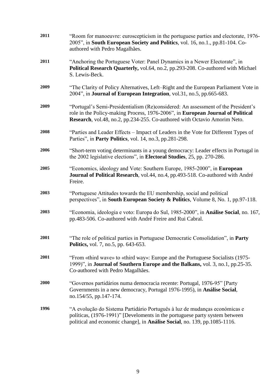| 2011        | "Room for manoeuvre: euroscepticism in the portuguese parties and electorate, 1976-<br>2005", in South European Society and Politics, vol. 16, no.1., pp.81-104. Co-<br>authored with Pedro Magalhães.                                            |
|-------------|---------------------------------------------------------------------------------------------------------------------------------------------------------------------------------------------------------------------------------------------------|
| 2011        | "Anchoring the Portuguese Voter: Panel Dynamics in a Newer Electorate", in<br>Political Research Quarterly, vol.64, no.2, pp.293-208. Co-authored with Michael<br>S. Lewis-Beck.                                                                  |
| 2009        | "The Clarity of Policy Alternatives, Left-Right and the European Parliament Vote in<br>2004", in <b>Journal of European Integration</b> , vol.31, no.5, pp.665-683.                                                                               |
| 2009        | "Portugal's Semi-Presidentialism (Re)considered: An assessment of the President's<br>role in the Policy-making Process, 1976-2006", in European Journal of Political<br>Research, vol.48, no.2, pp.234-255. Co-authored with Octavio Amorim Neto. |
| 2008        | "Parties and Leader Effects – Impact of Leaders in the Vote for Different Types of<br>Parties", in Party Politics, vol. 14, no.3, pp.281-298.                                                                                                     |
| 2006        | "Short-term voting determinants in a young democracy: Leader effects in Portugal in<br>the 2002 legislative elections", in <b>Electoral Studies</b> , 25, pp. 270-286.                                                                            |
| 2005        | "Economics, ideology and Vote: Southern Europe, 1985-2000", in European<br>Journal of Political Research, vol.44, no.4, pp.493-518. Co-authored with André<br>Freire.                                                                             |
| 2003        | "Portuguese Attitudes towards the EU membership, social and political<br>perspectives", in South European Society & Politics, Volume 8, No. 1, pp.97-118.                                                                                         |
| 2003        | "Economia, ideologia e voto: Europa do Sul, 1985-2000", in Análise Social, no. 167,<br>pp.483-506. Co-authored with André Freire and Rui Cabral.                                                                                                  |
| 2001        | "The role of political parties in Portuguese Democratic Consolidation", in Party<br>Politics, vol. 7, no.5, pp. 643-653.                                                                                                                          |
| <b>2001</b> | "From «third wave» to «third way»: Europe and the Portuguese Socialists (1975–<br>1999)", in Journal of Southern Europe and the Balkans, vol. 3, no.1, pp.25-35.<br>Co-authored with Pedro Magalhães.                                             |
| <b>2000</b> | "Governos partidários numa democracia recente: Portugal, 1976-95" [Party<br>Governments in a new democracy, Portugal 1976-1995), in Análise Social,<br>no.154/55, pp.147-174.                                                                     |
| 1996        | "A evolução do Sistema Partidário Português à luz de mudanças económicas e<br>políticas, (1976-1991)" [Develoments in the portuguese party system between<br>political and economic change], in Análise Social, no. 139, pp.1085-1116.            |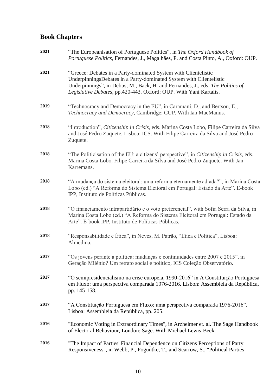#### **Book Chapters**

| 2021 | "The Europeanisation of Portuguese Politics", in The Oxford Handbook of<br>Portuguese Politics, Fernandes, J., Magalhães, P. and Costa Pinto, A., Oxford: OUP.                                                                                                                                |
|------|-----------------------------------------------------------------------------------------------------------------------------------------------------------------------------------------------------------------------------------------------------------------------------------------------|
| 2021 | "Greece: Debates in a Party-dominated System with Clientelistic<br>UnderpinningsDebates in a Party-dominated System with Clientelistic<br>Underpinnings", in Debus, M., Back, H. and Fernandes, J., eds. The Politics of<br>Legislative Debates, pp.420-443. Oxford: OUP. With Yani Kartalis. |
| 2019 | "Technocracy and Democracy in the EU", in Caramani, D., and Bertsou, E.,<br>Technocracy and Democracy, Cambridge: CUP. With Ian MacManus.                                                                                                                                                     |
| 2018 | "Introduction", Citizenship in Crisis, eds. Marina Costa Lobo, Filipe Carreira da Silva<br>and José Pedro Zuquete. Lisboa: ICS. With Filipe Carreira da Silva and José Pedro<br>Zuquete.                                                                                                      |
| 2018 | "The Politicisation of the EU: a citizens' perspective", in Citizenship in Crisis, eds.<br>Marina Costa Lobo, Filipe Carreira da Silva and José Pedro Zuquete. With Jan<br>Karremans.                                                                                                         |
| 2018 | "A mudança do sistema eleitoral: uma reforma eternamente adiada?", in Marina Costa<br>Lobo (ed.) "A Reforma do Sistema Eleitoral em Portugal: Estado da Arte". E-book<br>IPP, Instituto de Políticas Públicas.                                                                                |
| 2018 | "O financiamento intrapartidário e o voto preferencial", with Sofia Serra da Silva, in<br>Marina Costa Lobo (ed.) "A Reforma do Sistema Eleitoral em Portugal: Estado da<br>Arte". E-book IPP, Instituto de Políticas Públicas.                                                               |
| 2018 | "Responsabilidade e Ética", in Neves, M. Patrão, "Ética e Política", Lisboa:<br>Almedina.                                                                                                                                                                                                     |
| 2017 | "Os jovens perante a política: mudanças e continuidades entre 2007 e 2015", in<br>Geração Milénio? Um retrato social e político, ICS Coleção Observatório.                                                                                                                                    |
| 2017 | "O semipresidencialismo na crise europeia, 1990-2016" in A Constituição Portuguesa<br>em Fluxo: uma perspectiva comparada 1976-2016. Lisbon: Assembleia da República,<br>pp. 145-158.                                                                                                         |
| 2017 | "A Constituição Portuguesa em Fluxo: uma perspectiva comparada 1976-2016".<br>Lisboa: Assembleia da República, pp. 205.                                                                                                                                                                       |
| 2016 | "Economic Voting in Extraordinary Times", in Arzheimer et. al. The Sage Handbook<br>of Electoral Behaviour, London: Sage. With Michael Lewis-Beck.                                                                                                                                            |
| 2016 | "The Impact of Parties' Financial Dependence on Citizens Perceptions of Party<br>Responsiveness", in Webb, P., Poguntke, T., and Scarrow, S., "Political Parties                                                                                                                              |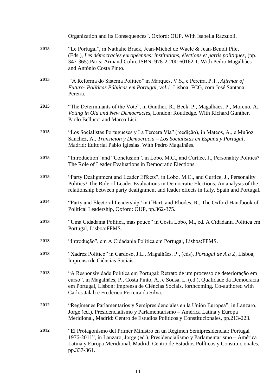|      | Organization and its Consequences", Oxford: OUP. With Isabella Razzuoli.                                                                                                                                                                                                                                       |
|------|----------------------------------------------------------------------------------------------------------------------------------------------------------------------------------------------------------------------------------------------------------------------------------------------------------------|
| 2015 | "Le Portugal", in Nathalie Brack, Jean-Michel de Waele & Jean-Benoit Pilet<br>(Eds.), Les démocracies européennes: institutions, élections et partis politiques, (pp.<br>347-365). Paris: Armand Colin. ISBN: 978-2-200-60162-1. With Pedro Magalhães<br>and António Costa Pinto.                              |
| 2015 | "A Reforma do Sistema Político" in Marques, V.S., e Pereira, P.T., Afirmar of<br>Futuro-Políticas Públicas em Portugal, vol.1, Lisboa: FCG, com José Santana<br>Pereira.                                                                                                                                       |
| 2015 | "The Determinants of the Vote", in Gunther, R., Beck, P., Magalhães, P., Moreno, A.,<br>Voting in Old and New Democracies, London: Routledge. With Richard Gunther,<br>Paolo Bellucci and Marco Lisi.                                                                                                          |
| 2015 | "Los Socialistas Portugueses y La Tercera Via" (reedição), in Mateos, A., e Muñoz<br>Sanchez, A., Transicion y Democracia – Los Socialistas en España y Portugal,<br>Madrid: Editorial Pablo Iglesias. With Pedro Magalhães.                                                                                   |
| 2015 | "Introduction" and "Conclusion", in Lobo, M.C., and Curtice, J., Personality Politics?<br>The Role of Leader Evaluations in Democratic Elections.                                                                                                                                                              |
| 2015 | "Party Dealignment and Leader Effects", in Lobo, M.C., and Curtice, J., Personality<br>Politics? The Role of Leader Evaluations in Democratic Elections. An analysis of the<br>relationship between party dealignment and leader effects in Italy, Spain and Portugal.                                         |
| 2014 | "Party and Electoral Leadership" in t'Hart, and Rhodes, R., The Oxford Handbook of<br>Political Leadership, Oxford: OUP, pp.362-375                                                                                                                                                                            |
| 2013 | "Uma Cidadania Política, mas pouco" in Costa Lobo, M., ed. A Cidadania Política em<br>Portugal, Lisboa:FFMS.                                                                                                                                                                                                   |
| 2013 | "Introdução", em A Cidadania Política em Portugal, Lisboa: FFMS.                                                                                                                                                                                                                                               |
| 2013 | "Xadrez Político" in Cardoso, J.L., Magalhães, P., (eds), Portugal de A a Z, Lisboa,<br>Imprensa de Ciências Sociais.                                                                                                                                                                                          |
| 2013 | "A Responsividade Política em Portugal: Retrato de um processo de deterioração em<br>curso", in Magalhães, P., Costa Pinto, A., e Sousa, L. (ed.), Qualidade da Democracia<br>em Portugal, Lisbon: Imprensa de Ciências Sociais, forthcoming. Co-authored with<br>Carlos Jalali e Frederico Ferreira da Silva. |
| 2012 | "Regímenes Parlamentarios y Semipresidenciales en la Unión Europea", in Lanzaro,<br>Jorge (ed.), Presidencialismo y Parlamentarismo - América Latina y Europa<br>Meridional, Madrid: Centro de Estudios Políticos y Constitucionales, pp.213-223.                                                              |
| 2012 | "El Protagonismo del Primer Ministro en un Régimen Semipresidencial: Portugal<br>1976-2011", in Lanzaro, Jorge (ed.), Presidencialismo y Parlamentarismo - América<br>Latina y Europa Meridional, Madrid: Centro de Estudios Políticos y Constitucionales,<br>pp.337-361.                                      |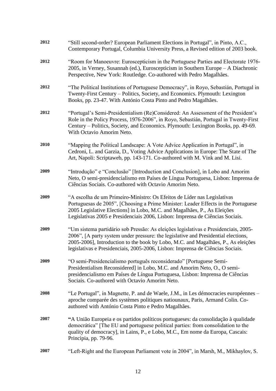| 2012 | "Still second-order? European Parliament Elections in Portugal", in Pinto, A.C.,<br>Contemporary Portugal, Columbia University Press, a Revised edition of 2003 book.                                                                                                                                                                            |
|------|--------------------------------------------------------------------------------------------------------------------------------------------------------------------------------------------------------------------------------------------------------------------------------------------------------------------------------------------------|
| 2012 | "Room for Manoeuvre: Euroscepticism in the Portuguese Parties and Electorate 1976-<br>2005, in Verney, Susannah (ed.), Euroscepticism in Southern Europe – A Diachronic<br>Perspective, New York: Routledge. Co-authored with Pedro Magalhães.                                                                                                   |
| 2012 | "The Political Institutions of Portuguese Democracy", in Royo, Sebastián, Portugal in<br>Twenty-First Century – Politics, Society, and Economics. Plymouth: Lexington<br>Books, pp. 23-47. With António Costa Pinto and Pedro Magalhães.                                                                                                         |
| 2012 | "Portugal's Semi-Presidentialism (Re)Considered: An Assessment of the President's<br>Role in the Policy Process, 1976-2006", in Royo, Sebastián, Portugal in Twenty-First<br>Century – Politics, Society, and Economics. Plymouth: Lexington Books, pp. 49-69.<br>With Octavio Amorim Neto.                                                      |
| 2010 | "Mapping the Political Landscape: A Vote Advice Application in Portugal", in<br>Cedroni, L. and Garzia, D., Voting Advice Applications in Europe: The State of The<br>Art, Napoli: Scriptaweb, pp. 143-171. Co-authored with M. Vink and M. Lisi.                                                                                                |
| 2009 | "Introdução" e "Conclusão" [Introduction and Conclusion], in Lobo and Amorim<br>Neto, O semi-presidencialismo em Países de Língua Portuguesa, Lisbon: Imprensa de<br>Ciências Sociais. Co-authored with Octavio Amorim Neto.                                                                                                                     |
| 2009 | "A escolha de um Primeiro-Ministro: Os Efeitos de Líder nas Legislativas<br>Portuguesas de 2005", [Choosing a Prime Minister: Leader Effects in the Portuguese<br>2005 Legislative Elections] in Lobo, M.C. and Magalhães, P., As Eleições<br>Legislativas 2005 e Presidenciais 2006, Lisbon: Imprensa de Ciências Sociais.                      |
| 2009 | "Um sistema partidário sob Pressão: As eleições legislativas e Presidenciais, 2005-<br>2006", [A party system under pressure: the legislative and Presidential elections,<br>2005-2006], Introduction to the book by Lobo, M.C. and Magalhães, P., As eleições<br>legislativas e Presidenciais, 2005-2006, Lisbon: Imprensa de Ciências Sociais. |
| 2009 | "O semi-Presidencialismo português reconsiderado" [Portuguese Semi-<br>Presidentialism Reconsidered] in Lobo, M.C. and Amorim Neto, O., O semi-<br>presidencialismo em Países de Língua Portuguesa, Lisbon: Imprensa de Ciências<br>Sociais. Co-authored with Octavio Amorim Neto.                                                               |
| 2008 | "Le Portugal", in Magnette, P. and de Waele, J.M., in Les démocracies européennes –<br>aproche comparée des systèmes politiques natiounaux, Paris, Armand Colin. Co-<br>authored with António Costa Pinto e Pedro Magalhães.                                                                                                                     |
| 2007 | "A União Europeia e os partidos políticos portugueses: da consolidação à qualidade<br>democrática" [The EU and portuguese political parties: from consolidation to the<br>quality of democracy], in Lains, P., e Lobo, M.C., Em nome da Europa, Cascais:<br>Principia, pp. 79-96.                                                                |
| 2007 | "Left-Right and the European Parliament vote in 2004", in Marsh, M., Mikhaylov, S.                                                                                                                                                                                                                                                               |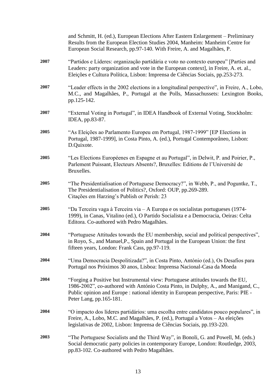|      | and Schmitt, H. (ed.), European Elections After Eastern Enlargement – Preliminary<br>Results from the European Election Studies 2004, Manheim: Manheim Centre for<br>European Social Research, pp.97-140. With Freire, A. and Magalhães, P.                                             |
|------|-----------------------------------------------------------------------------------------------------------------------------------------------------------------------------------------------------------------------------------------------------------------------------------------|
| 2007 | "Partidos e Líderes: organização partidária e voto no contexto europeu" [Parties and<br>Leaders: party organization and vote in the European context], in Freire, A. et. al.,<br>Eleições e Cultura Política, Lisbon: Imprensa de Ciências Sociais, pp.253-273.                         |
| 2007 | "Leader effects in the 2002 elections in a longitudinal perspective", in Freire, A., Lobo,<br>M.C., and Magalhães, P., Portugal at the Polls, Massachussets: Lexington Books,<br>pp.125-142.                                                                                            |
| 2007 | "External Voting in Portugal", in IDEA Handbook of External Voting, Stockholm:<br>IDEA, pp.83-87.                                                                                                                                                                                       |
| 2005 | "As Eleições ao Parlamento Europeu em Portugal, 1987-1999" [EP Elections in<br>Portugal, 1987-1999], in Costa Pinto, A. (ed.), Portugal Contemporâneo, Lisbon:<br>D.Quixote.                                                                                                            |
| 2005 | "Les Elections Européenes en Espagne et au Portugal", in Delwit, P. and Poirier, P.,<br>Parlement Puissant, Electeurs Absents?, Bruxelles: Editions de l'Université de<br>Bruxelles.                                                                                                    |
| 2005 | "The Presidentialisation of Portuguese Democracy?", in Webb, P., and Poguntke, T.,<br>The Presidentialisation of Politics?, Oxford: OUP, pp.269-289.<br>Citações em Harzing's Publish or Perish: 23                                                                                     |
| 2005 | "Da Terceira vaga à Terceira via – A Europa e os socialistas portugueses (1974-<br>1999), in Canas, Vitalino (ed.), O Partido Socialista e a Democracia, Oeiras: Celta<br>Editora. Co-authored with Pedro Magalhães.                                                                    |
| 2004 | "Portuguese Attitudes towards the EU membership, social and political perspectives",<br>in Royo, S., and Manuel, P., Spain and Portugal in the European Union: the first<br>fifteen years, London: Frank Cass, pp.97-119.                                                               |
| 2004 | "Uma Democracia Despolitizada?", in Costa Pinto, António (ed.), Os Desafios para<br>Portugal nos Próximos 30 anos, Lisboa: Imprensa Nacional-Casa da Moeda                                                                                                                              |
| 2004 | "Forging a Positive but Instrumental view: Portuguese attitudes towards the EU,<br>1986-2002", co-authored with António Costa Pinto, in Dulphy, A., and Manigand, C.,<br>Public opinion and Europe : national identity in European perspective, Paris: PIE -<br>Peter Lang, pp.165-181. |
| 2004 | "O impacto dos líderes partidários: uma escolha entre candidatos pouco populares", in<br>Freire, A., Lobo, M.C. and Magalhães, P. (ed.), Portugal a Votos - As eleições<br>legislativas de 2002, Lisbon: Imprensa de Ciências Sociais, pp.193-220.                                      |
| 2003 | "The Portuguese Socialists and the Third Way", in Bonoli, G. and Powell, M. (eds.)<br>Social democratic party policies in contemporary Europe, London: Routledge, 2003,<br>pp.83-102. Co-authored with Pedro Magalhães.                                                                 |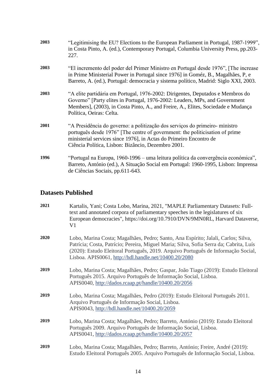| 2003 | "Legitimising the EU? Elections to the European Parliament in Portugal, 1987-1999",<br>in Costa Pinto, A. (ed.), Contemporary Portugal, Columbia University Press, pp.203-<br>227.                                                                                                      |
|------|-----------------------------------------------------------------------------------------------------------------------------------------------------------------------------------------------------------------------------------------------------------------------------------------|
| 2003 | "El incremento del poder del Primer Ministro en Portugal desde 1976", [The increase<br>in Prime Ministerial Power in Portugal since 1976] in Goméz, B., Magalhães, P, e<br>Barreto, A. (ed.), Portugal: democracia y sistema político, Madrid: Siglo XXI, 2003.                         |
| 2003 | "A elite partidária em Portugal, 1976-2002: Dirigentes, Deputados e Membros do<br>Governo" [Party elites in Portugal, 1976-2002: Leaders, MPs, and Government<br>Members], (2003), in Costa Pinto, A., and Freire, A., Elites, Sociedade e Mudança<br>Política, Oeiras: Celta.          |
| 2001 | "A Presidência do governo: a politização dos serviços do primeiro- ministro<br>português desde 1976" [The centre of government: the politicisation of prime<br>ministerial services since 1976], in Actas do Primeiro Encontro de<br>Ciência Política, Lisbon: Bizâncio, Dezembro 2001. |
| 1996 | "Portugal na Europa, 1960-1996 – uma leitura política da convergência económica",<br>Barreto, António (ed.), A Situação Social em Portugal: 1960-1995, Lisbon: Imprensa<br>de Ciências Sociais, pp.611-643.                                                                             |

#### **Datasets Published**

| 2021 | Kartalis, Yani; Costa Lobo, Marina, 2021, "MAPLE Parliamentary Datasets: Full-<br>text and annotated corpora of parliamentary speeches in the legislatures of six<br>European democracies", https://doi.org/10.7910/DVN/9MN0RL, Harvard Dataverse,<br>V1                                                                  |
|------|---------------------------------------------------------------------------------------------------------------------------------------------------------------------------------------------------------------------------------------------------------------------------------------------------------------------------|
| 2020 | Lobo, Marina Costa; Magalhães, Pedro; Santo, Ana Espírito; Jalali, Carlos; Silva,<br>Patrícia; Costa, Patrício; Pereira, Miguel Maria; Silva, Sofia Serra da; Cabrita, Luís<br>(2020): Estudo Eleitoral Português, 2019. Arquivo Português de Informação Social,<br>Lisboa. APIS0061, http://hdl.handle.net/10400.20/2080 |
| 2019 | Lobo, Marina Costa; Magalhães, Pedro; Gaspar, João Tiago (2019): Estudo Eleitoral<br>Português 2015. Arquivo Português de Informação Social, Lisboa.<br>APIS0040, http://dados.rcaap.pt/handle/10400.20/2056                                                                                                              |
| 2019 | Lobo, Marina Costa; Magalhães, Pedro (2019): Estudo Eleitoral Português 2011.<br>Arquivo Português de Informação Social, Lisboa.<br>APIS0043, http://hdl.handle.net/10400.20/2059                                                                                                                                         |
| 2019 | Lobo, Marina Costa; Magalhães, Pedro; Barreto, António (2019): Estudo Eleitoral<br>Português 2009. Arquivo Português de Informação Social, Lisboa.<br>APIS0041, http://dados.rcaap.pt/handle/10400.20/2057                                                                                                                |
| 2019 | Lobo, Marina Costa; Magalhães, Pedro; Barreto, António; Freire, André (2019):<br>Estudo Eleitoral Português 2005. Arquivo Português de Informação Social, Lisboa.                                                                                                                                                         |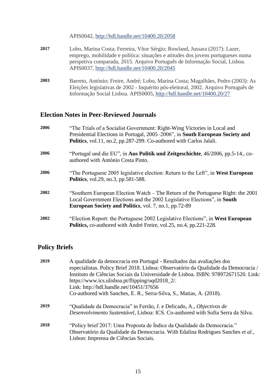APIS0042, <http://hdl.handle.net/10400.20/2058>

- **2017** Lobo, Marina Costa; Ferreira, Vítor Sérgio; Rowland, Jussara (2017): Lazer, emprego, mobilidade e política: situações e atitudes dos jovens portugueses numa perspetiva comparada, 2015. Arquivo Português de Informação Social, Lisboa. APIS0037, <http://hdl.handle.net/10400.20/2045>
- **2003** Barreto, António; Freire, André; Lobo, Marina Costa; Magalhães, Pedro (2003): As Eleições legislativas de 2002 - Inquérito pós-eleitoral, 2002. Arquivo Português de Informação Social Lisboa. APIS0005, <http://hdl.handle.net/10400.20/27>

#### **Election Notes in Peer-Reviewed Journals**

| 2006 | "The Trials of a Socialist Government: Right-Wing Victories in Local and<br>Presidential Elections in Portugal, 2005–2006", in South European Society and                                                                    |
|------|------------------------------------------------------------------------------------------------------------------------------------------------------------------------------------------------------------------------------|
|      | <b>Politics</b> , vol.11, no.2, pp.287-299. Co-authored with Carlos Jalali.                                                                                                                                                  |
| 2006 | "Portugal und die EU", in Aus Politik und Zeitgeschichte, $46/2006$ , pp. 5-14., co-<br>authored with António Costa Pinto.                                                                                                   |
| 2006 | "The Portuguese 2005 legislative election: Return to the Left", in West European<br><b>Politics</b> , vol.29, no.3, pp.581-588.                                                                                              |
| 2002 | "Southern European Election Watch – The Return of the Portuguese Right: the 2001<br>Local Government Elections and the 2002 Legislative Elections", in South<br><b>European Society and Politics, vol. 7, no.1, pp.72-89</b> |
| 2002 | "Election Report: the Portuguese 2002 Legislative Elections", in West European<br><b>Politics, co-authored with André Freire, vol.25, no.4, pp.221-228.</b>                                                                  |

#### **Policy Briefs**

| 2019 | A qualidade da democracia em Portugal - Resultados das avaliações dos<br>especialistas. Policy Brief 2018. Lisboa: Observatório da Qualidade da Democracia / |
|------|--------------------------------------------------------------------------------------------------------------------------------------------------------------|
|      | Instituto de Ciências Sociais da Universidade de Lisboa. ISBN: 978972671520. Link:                                                                           |
|      | https://www.ics.ulisboa.pt/flipping/oqd2018_2/.                                                                                                              |
|      | Link: http://hdl.handle.net/10451/37656                                                                                                                      |
|      | Co-authored with Sanches, E. R., Serra-Silva, S., Matias, A. (2018).                                                                                         |
| 2019 | "Qualidade da Democracia" in Ferrão, J. e Delicado, A., Objectivos de                                                                                        |
|      | Desenvolvimento Sustentável, Lisboa: ICS. Co-authored with Sofia Serra da Silva.                                                                             |
| 2018 | "Policy brief 2017: Uma Proposta de Índice da Qualidade da Democracia."                                                                                      |
|      | Observatório da Qualidade da Democracia. With Edalina Rodrigues Sanches et al.,                                                                              |
|      | Lisbon: Imprensa de Ciências Sociais.                                                                                                                        |
|      |                                                                                                                                                              |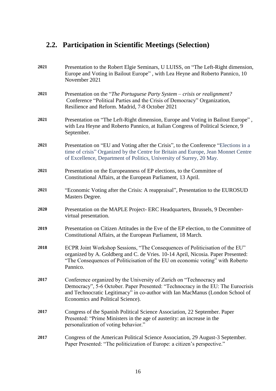## **2.2. Participation in Scientific Meetings (Selection)**

| 2021 | Presentation to the Robert Elgie Seminars, U LUISS, on "The Left-Right dimension,<br>Europe and Voting in Bailout Europe", with Lea Heyne and Roberto Pannico, 10<br>November 2021                                                                                             |
|------|--------------------------------------------------------------------------------------------------------------------------------------------------------------------------------------------------------------------------------------------------------------------------------|
| 2021 | Presentation on the "The Portuguese Party System – crisis or realignment?<br>Conference "Political Parties and the Crisis of Democracy" Organization,<br>Resilience and Reform. Madrid, 7-8 October 2021                                                                       |
| 2021 | Presentation on "The Left-Right dimension, Europe and Voting in Bailout Europe",<br>with Lea Heyne and Roberto Pannico, at Italian Congress of Political Science, 9<br>September.                                                                                              |
| 2021 | Presentation on "EU and Voting after the Crisis", to the Conference "Elections in a<br>time of crisis" Organized by the Centre for Britain and Europe, Jean Monnet Centre<br>of Excellence, Department of Politics, University of Surrey, 20 May.                              |
| 2021 | Presentation on the Europeanness of EP elections, to the Committee of<br>Constitutional Affairs, at the European Parliament, 13 April.                                                                                                                                         |
| 2021 | "Economic Voting after the Crisis: A reappraisal", Presentation to the EUROSUD<br>Masters Degree.                                                                                                                                                                              |
| 2020 | Presentation on the MAPLE Project- ERC Headquarters, Brussels, 9 December-<br>virtual presentation.                                                                                                                                                                            |
| 2019 | Presentation on Citizen Attitudes in the Eve of the EP election, to the Committee of<br>Constitutional Affairs, at the European Parliament, 18 March.                                                                                                                          |
| 2018 | ECPR Joint Workshop Sessions, "The Consequences of Politicisation of the EU"<br>organized by A. Goldberg and C. de Vries. 10-14 April, Nicosia. Paper Presented:<br>"The Consequences of Politicisation of the EU on economic voting" with Roberto<br>Pannico.                 |
| 2017 | Conference organized by the University of Zurich on "Technocracy and<br>Democracy", 5-6 October. Paper Presented: "Technocracy in the EU: The Eurocrisis<br>and Technocratic Legitimacy" in co-author with Ian MacManus (London School of<br>Economics and Political Science). |
| 2017 | Congress of the Spanish Political Science Association, 22 September. Paper<br>Presented: "Prime Ministers in the age of austerity: an increase in the<br>personalization of voting behavior."                                                                                  |
| 2017 | Congress of the American Political Science Association, 29 August-3 September.<br>Paper Presented: "The politicization of Europe: a citizen's perspective."                                                                                                                    |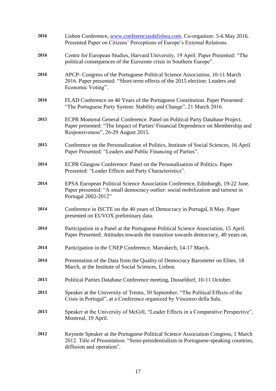| 2016 | Lisbon Conference, www.conferenciasdelisboa.com. Co-organizer. 5-6 May 2016.<br>Presented Paper on Citizens' Perceptions of Europe's External Relations.                                               |
|------|--------------------------------------------------------------------------------------------------------------------------------------------------------------------------------------------------------|
| 2016 | Centre for European Studies, Harvard University, 19 April. Paper Presented: "The<br>political consequences of the Eurozone crisis in Southern Europe".                                                 |
| 2016 | APCP- Congress of the Portuguese Political Science Association, 10-11 March<br>2016. Paper presented: "Short-term effects of the 2015 election: Leaders and<br>Economic Voting".                       |
| 2016 | FLAD Conference on 40 Years of the Portuguese Constitution. Paper Presented:<br>"The Portuguese Party System: Stability and Change", 21 March 2016.                                                    |
| 2015 | ECPR Montreal General Conference. Panel on Political Party Database Project.<br>Paper presented: "The Impact of Parties' Financial Dependence on Membership and<br>Responsiveness", 26-29 August 2015. |
| 2015 | Conference on the Personalization of Politics, Institute of Social Sciences, 16 April.<br>Paper Presented: "Leaders and Public Financing of Parties".                                                  |
| 2014 | ECPR Glasgow Conference: Panel on the Personalisation of Politics. Paper<br>Presented: "Leader Effects and Party Characteristics".                                                                     |
| 2014 | EPSA European Political Science Association Conference, Edinburgh, 19-22 June.<br>Paper presented: "A small democracy outlier: social mobilization and turnout in<br>Portugal 2002-2012"               |
| 2014 | Conference in ISCTE on the 40 years of Democracy in Portugal, 8 May. Paper<br>presented on EUVOX preliminary data.                                                                                     |
| 2014 | Participation in a Panel at the Portuguese Political Science Association, 15 April.<br>Paper Presented: Attitudes towards the transition towards democracy, 40 years on.                               |
| 2014 | Participation in the CNEP Conference, Marrakech, 14-17 March.                                                                                                                                          |
| 2014 | Presentation of the Data from the Quality of Democracy Barometer on Elites, 18<br>March, at the Institute of Social Sciences, Lisbon.                                                                  |
| 2013 | Political Parties Database Conference meeting, Dusseldorf, 10-11 October.                                                                                                                              |
| 2013 | Speaker at the University of Trento, 30 September, "The Political Effects of the<br>Crisis in Portugal", at a Conference organized by Vincenzo della Sala.                                             |
| 2013 | Speaker at the University of McGill, "Leader Effects in a Comparative Perspective",<br>Montreal, 19 April.                                                                                             |
| 2012 | Keynote Speaker at the Portuguese Political Science Association Congress, 1 March<br>2012. Title of Presentation: "Semi-presidentialism in Portuguese-speaking countries,<br>diffusion and operation". |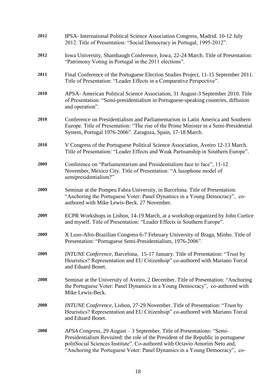| 2012 | IPSA- International Political Science Association Congress, Madrid. 10-12 July<br>2012. Title of Presentation: "Social Democracy in Portugal, 1995-2012".                                                                                                                                                                |
|------|--------------------------------------------------------------------------------------------------------------------------------------------------------------------------------------------------------------------------------------------------------------------------------------------------------------------------|
| 2012 | Iowa University, Shambaugh Conference, Iowa, 22-24 March. Title of Presentation:<br>"Patrimony Voting in Portugal in the 2011 elections".                                                                                                                                                                                |
| 2011 | Final Conference of the Portuguese Election Studies Project, 11-15 September 2011.<br>Title of Presentation: "Leader Effects in a Comparative Perspective".                                                                                                                                                              |
| 2010 | APSA- American Political Science Association, 31 August-3 September 2010. Title<br>of Presentation: "Semi-presidentialism in Portuguese-speaking countries, diffusion<br>and operation".                                                                                                                                 |
| 2010 | Conference on Presidentialism and Parliamentarism in Latin America and Southern<br>Europe. Title of Presentation: "The rise of the Prime Minister in a Semi-Presidential<br>System, Portugal 1976-2006". Zaragoza, Spain, 17-18 March.                                                                                   |
| 2010 | V Congress of the Portuguese Political Science Association, Aveiro 12-13 March.<br>Title of Presentation: "Leader Effects and Weak Partisanship in Southern Europe".                                                                                                                                                     |
| 2009 | Conference on "Parliamentarism and Presidentialism face to face", 11-12<br>November, Mexico City. Title of Presentation: "A lusophone model of<br>semipresidentialism?"                                                                                                                                                  |
| 2009 | Seminar at the Pompeu Fabra University, in Barcelona. Title of Presentation:<br>"Anchoring the Portuguese Voter: Panel Dynamics in a Young Democracy", co-<br>authored with Mike Lewis-Beck. 27 November.                                                                                                                |
| 2009 | ECPR Workshops in Lisbon, 14-19 March, at a workshop organized by John Curtice<br>and myself. Title of Presentation: "Leader Effects in Southern Europe".                                                                                                                                                                |
| 2009 | X Luso-Afro-Brazilian Congress 6-7 February University of Braga, Minho. Title of<br>Presentation: "Portuguese Semi-Presidentialism, 1976-2006".                                                                                                                                                                          |
| 2009 | INTUNE Conference, Barcelona, 15-17 January. Title of Presentation: "Trust by<br>Heuristics? Representation and EU Citizenhsip" co-authored with Mariano Torcal<br>and Eduard Bonet.                                                                                                                                     |
| 2008 | Seminar at the University of Aveiro, 2 December. Title of Presentation: "Anchoring<br>the Portuguese Voter: Panel Dynamics in a Young Democracy", co-authored with<br>Mike Lewis-Beck.                                                                                                                                   |
| 2008 | INTUNE Conference, Lisbon, 27-29 November. Title of Presentation: "Trust by<br>Heuristics? Representation and EU Citizenhsip" co-authored with Mariano Torcal<br>and Eduard Bonet.                                                                                                                                       |
| 2008 | APSA Congress, 29 August – 3 September. Title of Presentations: "Semi-<br>Presidentialism Revisited: the role of the President of the Republic in portuguese<br>politSocial Sciences Institute". Co-authored with Octavio Amorim Neto and,<br>"Anchoring the Portuguese Voter: Panel Dynamics in a Young Democracy", co- |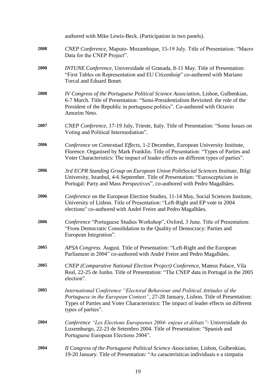|      | authored with Mike Lewis-Beck. (Participation in two panels).                                                                                                                                                                                                                     |
|------|-----------------------------------------------------------------------------------------------------------------------------------------------------------------------------------------------------------------------------------------------------------------------------------|
| 2008 | CNEP Conference, Maputo-Mozambique, 15-19 July. Title of Presentation: "Macro<br>Data for the CNEP Project".                                                                                                                                                                      |
| 2008 | INTUNE Conference, Universidade of Granada, 8-11 May. Title of Presentation:<br>"First Tables on Representation and EU Citizenhsip" co-authored with Mariano<br>Torcal and Eduard Bonet.                                                                                          |
| 2008 | IV Congress of the Portuguese Political Science Association, Lisbon, Gulbenkian,<br>6-7 March. Title of Presentation: "Semi-Presidentialism Revisited: the role of the<br>President of the Republic in portuguese politics". Co-authored with Octavio<br>Amorim Neto.             |
| 2007 | CNEP Conference, 17-19 July, Trieste, Italy. Title of Presentation: "Some Issues on<br>Voting and Political Intermediation".                                                                                                                                                      |
| 2006 | Conference on Contextual Effects, 1-2 December, European University Institute,<br>Florence. Organised by Mark Franklin. Title of Presentation: "Types of Parties and<br>Voter Characteristics: The impact of leader effects on different types of parties".                       |
| 2006 | 3rd ECPR Standing Group on European Union PolitSocial Sciences Institute, Bilgi<br>University, Istanbul, 4-6 September. Title of Presentation: "Euroscepticism in<br>Portugal: Party and Mass Perspectives", co-authored with Pedro Magalhães.                                    |
| 2006 | Conference on the European Election Studies, 11-14 May, Social Sciences Institute,<br>University of Lisbon. Title of Presentation: "Left-Right and EP vote in 2004<br>elections" co-authored with André Freire and Pedro Magalhães.                                               |
| 2006 | Conference "Portuguese Studies Workshop", Oxford, 3 June. Title of Presentation:<br>"From Democratic Consolidation to the Quality of Democracy: Parties and<br>European Integration".                                                                                             |
| 2005 | APSA Congress. August. Title of Presentation: "Left-Right and the European<br>Parliament in 2004" co-authored with André Freire and Pedro Magalhães.                                                                                                                              |
| 2005 | CNEP (Comparative National Election Project) Conference, Mateus Palace, Vila<br>Real, 22-25 de Junho. Title of Presentation: "The CNEP data in Portugal in the 2005<br>election".                                                                                                 |
| 2005 | International Conference "Electoral Behaviour and Political Attitudes of the<br>Portuguese in the European Context", 27-28 January, Lisbon. Title of Presentation:<br>Types of Parties and Voter Characteristics: The impact of leader effects on different<br>types of parties". |
| 2004 | Conference "Les Elections Europeenes 2004- enjeux et débats" - Universidade do<br>Luxemburgo, 22-23 de Setembro 2004. Title of Presentation: "Spanish and<br>Portuguese European Elections 2004".                                                                                 |
| 2004 | II Congress of the Portuguese Political Science Association, Lisbon, Gulbenkian,<br>19-20 January. Title of Presentation: "As caracteristicas individuais e a simpatia                                                                                                            |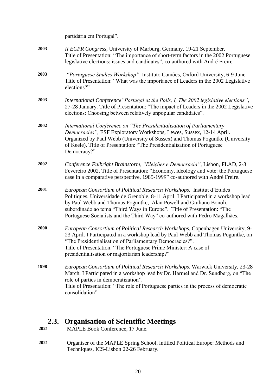|      | partidária em Portugal".                                                                                                                                                                                                                                                                                                                                                                     |
|------|----------------------------------------------------------------------------------------------------------------------------------------------------------------------------------------------------------------------------------------------------------------------------------------------------------------------------------------------------------------------------------------------|
| 2003 | II ECPR Congress, University of Marburg, Germany, 19-21 September.<br>Title of Presentation: "The importance of short-term factors in the 2002 Portuguese<br>legislative elections: issues and candidates", co-authored with André Freire.                                                                                                                                                   |
| 2003 | "Portuguese Studies Workshop", Instituto Camões, Oxford University, 6-9 June.<br>Title of Presentation: "What was the importance of Leaders in the 2002 Legislative<br>elections?"                                                                                                                                                                                                           |
| 2003 | International Conference "Portugal at the Polls, I, The 2002 legislative elections",<br>27-28 January. Title of Presentation: "The impact of Leaders in the 2002 Legislative<br>elections: Choosing between relatively unpopular candidates".                                                                                                                                                |
| 2002 | International Conference on "The Presidentialisation of Parliamentary<br>Democracies", ESF Exploratory Workshops, Lewes, Sussex, 12-14 April.<br>Organized by Paul Webb (University of Sussex) and Thomas Poguntke (University<br>of Keele). Title of Presentation: "The Presidentialisation of Portuguese<br>Democracy?"                                                                    |
| 2002 | Conference Fulbright Brainstorm, "Eleições e Democracia", Lisbon, FLAD, 2-3<br>Fevereiro 2002. Title of Presentation: "Economy, ideology and vote: the Portuguese<br>case in a comparative perspective, 1985-1999" co-authored with André Freire.                                                                                                                                            |
| 2001 | European Consortium of Political Research Workshops, Institut d'Etudes<br>Politiques, Universidade de Grenoble, 8-11 April. I Participated in a workshop lead<br>by Paul Webb and Thomas Poguntke, Alan Powell and Giuliano Bonoli,<br>subordinado ao tema "Third Ways in Europe". Title of Presentation: "The<br>Portuguese Socialists and the Third Way" co-authored with Pedro Magalhães. |
| 2000 | European Consortium of Political Research Workshops, Copenhagen University, 9-<br>23 April. I Participated in a workshop lead by Paul Webb and Thomas Poguntke, on<br>"The Presidentialisation of Parliamentary Democracies?".<br>Title of Presentation: "The Portuguese Prime Minister: A case of<br>presidentialisation or majoritarian leadership?"                                       |
| 1998 | European Consortium of Political Research Workshops, Warwick University, 23-28<br>March. I Participated in a workshop lead by Dr. Harmel and Dr. Sundberg, on "The<br>role of parties in democratization".<br>Title of Presentation: "The role of Portuguese parties in the process of democratic<br>consolidation".                                                                         |

## **2.3. Organisation of Scientific Meetings**<br>2021 MAPLE Book Conference, 17 June.

- **2021** MAPLE Book Conference, 17 June.
- **2021** Organiser of the MAPLE Spring School, intitled Political Europe: Methods and Techniques, ICS-Lisbon 22-26 February.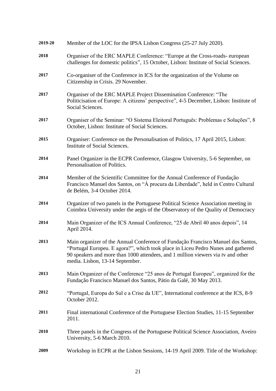| 2019-20 | Member of the LOC for the IPSA Lisbon Congress (25-27 July 2020).                                                                                                                                                                                                                           |
|---------|---------------------------------------------------------------------------------------------------------------------------------------------------------------------------------------------------------------------------------------------------------------------------------------------|
| 2018    | Organiser of the ERC MAPLE Conference: "Europe at the Cross-roads-european<br>challenges for domestic politics", 15 October, Lisbon: Institute of Social Sciences.                                                                                                                          |
| 2017    | Co-organiser of the Conference in ICS for the organization of the Volume on<br>Citizenship in Crisis. 29 November.                                                                                                                                                                          |
| 2017    | Organiser of the ERC MAPLE Project Dissemination Conference: "The<br>Politicisation of Europe: A citizens' perspective", 4-5 December, Lisbon: Institute of<br>Social Sciences.                                                                                                             |
| 2017    | Organiser of the Seminar: "O Sistema Eleitoral Português: Problemas e Soluções", 8<br>October, Lisbon: Institute of Social Sciences.                                                                                                                                                        |
| 2015    | Organiser: Conference on the Personalisation of Politics, 17 April 2015, Lisbon:<br>Institute of Social Sciences.                                                                                                                                                                           |
| 2014    | Panel Organizer in the ECPR Conference, Glasgow University, 5-6 September, on<br>Personalisation of Politics.                                                                                                                                                                               |
| 2014    | Member of the Scientific Committee for the Annual Conference of Fundação<br>Francisco Manuel dos Santos, on "Á procura da Liberdade", held in Centro Cultural<br>de Belém, 3-4 October 2014.                                                                                                |
| 2014    | Organizer of two panels in the Portuguese Political Science Association meeting in<br>Coimbra University under the aegis of the Observatory of the Quality of Democracy                                                                                                                     |
| 2014    | Main Organizer of the ICS Annual Conference, "25 de Abril 40 anos depois", 14<br>April 2014.                                                                                                                                                                                                |
| 2013    | Main organizer of the Annual Conference of Fundação Francisco Manuel dos Santos,<br>"Portugal Europeu. E agora?", which took place in Liceu Pedro Nunes and gathered<br>90 speakers and more than 1000 attendees, and 1 million viewers via tv and other<br>media. Lisbon, 13-14 September. |
| 2013    | Main Organizer of the Conference "25 anos de Portugal Europeu", organized for the<br>Fundação Francisco Manuel dos Santos, Pátio da Galé, 30 May 2013.                                                                                                                                      |
| 2012    | "Portugal, Europa do Sul e a Crise da UE", International conference at the ICS, 8-9<br>October 2012.                                                                                                                                                                                        |
| 2011    | Final international Conference of the Portuguese Election Studies, 11-15 September<br>2011.                                                                                                                                                                                                 |
| 2010    | Three panels in the Congress of the Portuguese Political Science Association, Aveiro<br>University, 5-6 March 2010.                                                                                                                                                                         |
| 2009    | Workshop in ECPR at the Lisbon Sessions, 14-19 April 2009. Title of the Workshop:                                                                                                                                                                                                           |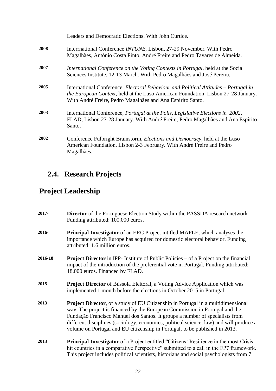|      | Leaders and Democratic Elections. With John Curtice.                                                                                                                                                                                          |
|------|-----------------------------------------------------------------------------------------------------------------------------------------------------------------------------------------------------------------------------------------------|
| 2008 | Interrnational Conference INTUNE, Lisbon, 27-29 November. With Pedro<br>Magalhães, António Costa Pinto, André Freire and Pedro Tavares de Almeida.                                                                                            |
| 2007 | International Conference on the Voting Contexts in Portugal, held at the Social<br>Sciences Institute, 12-13 March. With Pedro Magalhães and José Pereira.                                                                                    |
| 2005 | International Conference, <i>Electoral Behaviour and Political Attitudes – Portugal in</i><br>the European Context, held at the Luso American Foundation, Lisbon 27-28 January.<br>With André Freire, Pedro Magalhães and Ana Espírito Santo. |
| 2003 | International Conference, <i>Portugal at the Polls</i> , <i>Legislative Elections in 2002</i> ,<br>FLAD, Lisbon 27-28 January. With André Freire, Pedro Magalhães and Ana Espírito<br>Santo.                                                  |
| 2002 | Conference Fulbright Brainstorm, <i>Elections and Democracy</i> , held at the Luso<br>American Foundation, Lisbon 2-3 February. With André Freire and Pedro<br>Magalhães.                                                                     |

## **2.4. Research Projects**

## **Project Leadership**

| 2017-   | <b>Director</b> of the Portuguese Election Study within the PASSDA research network<br>Funding attributed: 100.000 euros.                                                                                                                                                                                                                                                                                                         |
|---------|-----------------------------------------------------------------------------------------------------------------------------------------------------------------------------------------------------------------------------------------------------------------------------------------------------------------------------------------------------------------------------------------------------------------------------------|
| 2016-   | <b>Principal Investigator</b> of an ERC Project intitled MAPLE, which analyses the<br>importance which Europe has acquired for domestic electoral behavior. Funding<br>attributed: 1.6 million euros.                                                                                                                                                                                                                             |
| 2016-18 | <b>Project Director</b> in IPP- Institute of Public Policies $-$ of a Project on the financial<br>impact of the introduction of the preferential vote in Portugal. Funding attributed:<br>18.000 euros. Financed by FLAD.                                                                                                                                                                                                         |
| 2015    | <b>Project Director</b> of Bússola Eleitoral, a Voting Advice Application which was<br>implemented 1 month before the elections in October 2015 in Portugal.                                                                                                                                                                                                                                                                      |
| 2013    | <b>Project Director</b> , of a study of EU Citizenship in Portugal in a multidimensional<br>way. The project is financed by the European Commission in Portugal and the<br>Fundação Francisco Manuel dos Santos. It groups a number of specialists from<br>different disciplines (sociology, economics, political science, law) and will produce a<br>volume on Portugal and EU citizenship in Portugal, to be published in 2013. |
| 2013    | <b>Principal Investigator</b> of a Project entitled "Citizens' Resilience in the most Crisis-<br>hit countries in a comparative Perspective" submitted to a call in the FP7 framework.<br>This project includes political scientists, historians and social psychologists from 7                                                                                                                                                  |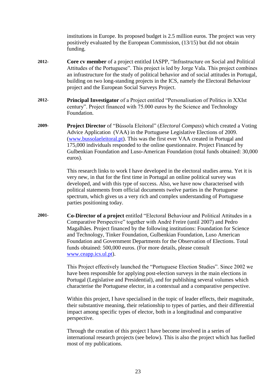institutions in Europe. Its proposed budget is 2.5 million euros. The project was very positively evaluated by the European Commission, (13/15) but did not obtain funding.

- **2012- Core cv member** of a project entitled IASPP, "Infrastructure on Social and Political Attitudes of the Portuguese". This project is led by Jorge Vala. This project combines an infrastructure for the study of political behavior and of social attitudes in Portugal, building on two long-standing projects in the ICS, namely the Electoral Behaviour project and the European Social Surveys Project.
- **2012- Principal Investigator** of a Project entitled "Personalisation of Politics in XXIst century". Project financed with 75.000 euros by the Science and Technology Foundation.
- **2009- Project Director** of "Bússola Eleitoral" (*Electoral Compass*) which created a Voting Advice Application (VAA) in the Portuguese Legislative Elections of 2009. [\(www.bussolaeleitoral.pt\)](http://www.bussolaeleitoral.pt/). This was the first ever VAA created in Portugal and 175,000 individuals responded to the online questionnaire. Project Financed by Gulbenkian Foundation and Luso-American Foundation (total funds obtained: 30,000 euros).

This research links to work I have developed in the electoral studies arena. Yet it is very new, in that for the first time in Portugal an online political survey was developed, and with this type of success. Also, we have now characterised with political statements from official documents twelve parties in the Portuguese spectrum, which gives us a very rich and complex understanding of Portuguese parties positioning today.

**2001- Co-Director of a project** entitled "Electoral Behaviour and Political Attitudes in a Comparative Perspective" together with André Freire (until 2007) and Pedro Magalhães. Project financed by the following institutions: Foundation for Science and Technology, Tinker Foundation, Gulbenkian Foundation, Luso American Foundation and Government Departments for the Observation of Elections. Total funds obtained: 500,000 euros. (For more details, please consult [www.ceapp.ics.ul.pt\)](http://www.ceapp.ics.ul.pt/).

> This Project effectively launched the "Portuguese Election Studies". Since 2002 we have been responsible for applying post-election surveys in the main elections in Portugal (Legislative and Presidential), and for publishing several volumes which characterise the Portuguese elector, in a contextual and a comparative perspective.

> Within this project, I have specialised in the topic of leader effects, their magnitude, their substantive meaning, their relationship to types of parties, and their differential impact among specific types of elector, both in a longitudinal and comparative perspective.

> Through the creation of this project I have become involved in a series of international research projects (see below). This is also the project which has fuelled most of my publications.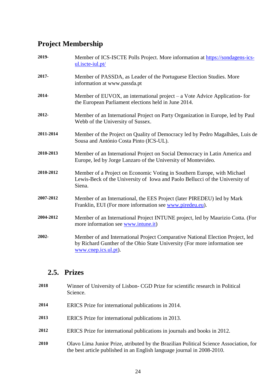## **Project Membership**

| 2019-     | Member of ICS-ISCTE Polls Project. More information at https://sondagens-ics-<br>$ul. iscte-iul. pt/$                                                                               |
|-----------|-------------------------------------------------------------------------------------------------------------------------------------------------------------------------------------|
| 2017-     | Member of PASSDA, as Leader of the Portuguese Election Studies. More<br>information at www.passda.pt                                                                                |
| 2014-     | Member of EUVOX, an international project $-$ a Vote Advice Application-for<br>the European Parliament elections held in June 2014.                                                 |
| 2012-     | Member of an International Project on Party Organization in Europe, led by Paul<br>Webb of the University of Sussex.                                                                |
| 2011-2014 | Member of the Project on Quality of Democracy led by Pedro Magalhães, Luis de<br>Sousa and António Costa Pinto (ICS-UL).                                                            |
| 2010-2013 | Member of an International Project on Social Democracy in Latin America and<br>Europe, led by Jorge Lanzaro of the University of Montevideo.                                        |
| 2010-2012 | Member of a Project on Economic Voting in Southern Europe, with Michael<br>Lewis-Beck of the University of Iowa and Paolo Bellucci of the University of<br>Siena.                   |
| 2007-2012 | Member of an International, the EES Project (later PIREDEU) led by Mark<br>Franklin, EUI (For more information see www.piredeu.eu).                                                 |
| 2004-2012 | Member of an International Project INTUNE project, led by Maurizio Cotta. (For<br>more information see www.intune.it)                                                               |
| 2002-     | Member of and International Project Comparative National Election Project, led<br>by Richard Gunther of the Ohio State University (For more information see<br>www.cnep.ics.ul.pt). |

### **2.5. Prizes**

| 2018 | Winner of University of Lisbon- CGD Prize for scientific research in Political<br>Science.                                                                        |
|------|-------------------------------------------------------------------------------------------------------------------------------------------------------------------|
| 2014 | ERICS Prize for international publications in 2014.                                                                                                               |
| 2013 | ERICS Prize for international publications in 2013.                                                                                                               |
| 2012 | ERICS Prize for international publications in journals and books in 2012.                                                                                         |
| 2010 | Olavo Lima Junior Prize, atributed by the Brazilian Political Science Association, for<br>the best article published in an English language journal in 2008-2010. |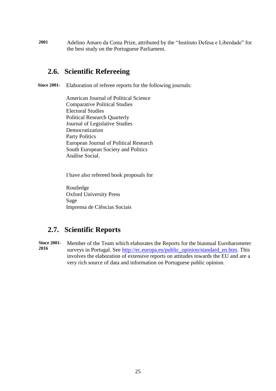**2001** Adelino Amaro da Costa Prize, attributed by the "Instituto Defesa e Liberdade" for the best study on the Portuguese Parliament.

#### **2.6. Scientific Refereeing**

**Since 2001-** Elaboration of referee reports for the following journals:

American Journal of Political Science Comparative Political Studies Electoral Studies Political Research Quarterly Journal of Legislative Studies Democratization Party Politics European Journal of Political Research South European Society and Politics Análise Social.

I have also refereed book proposals for

Routledge Oxford University Press Sage Imprensa de Ciências Sociais

#### **2.7. Scientific Reports**

**Since 2001- 2016** Member of the Team which elaborates the Reports for the biannual Eurobarometer surveys in Portugal. See [http://ec.europa.eu/public\\_opinion/standard\\_en.htm.](http://ec.europa.eu/public_opinion/standard_en.htm) This involves the elaboration of extensive reports on attitudes towards the EU and are a very rich source of data and information on Portuguese public opinion.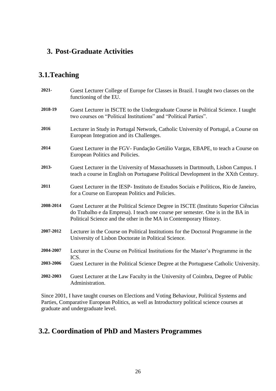#### **3. Post-Graduate Activities**

#### **3.1.Teaching**

| 2021-     | Guest Lecturer College of Europe for Classes in Brazil. I taught two classes on the<br>functioning of the EU.                                                                                                                                 |
|-----------|-----------------------------------------------------------------------------------------------------------------------------------------------------------------------------------------------------------------------------------------------|
| 2018-19   | Guest Lecturer in ISCTE to the Undergraduate Course in Political Science. I taught<br>two courses on "Political Institutions" and "Political Parties".                                                                                        |
| 2016      | Lecturer in Study in Portugal Network, Catholic University of Portugal, a Course on<br>European Integration and its Challenges.                                                                                                               |
| 2014      | Guest Lecturer in the FGV- Fundação Getúlio Vargas, EBAPE, to teach a Course on<br>European Politics and Policies.                                                                                                                            |
| 2013-     | Guest Lecturer in the University of Massachussets in Dartmouth, Lisbon Campus. I<br>teach a course in English on Portuguese Political Development in the XXth Century.                                                                        |
| 2011      | Guest Lecturer in the IESP- Instituto de Estudos Sociais e Políticos, Rio de Janeiro,<br>for a Course on European Politics and Policies.                                                                                                      |
| 2008-2014 | Guest Lecturer at the Political Science Degree in ISCTE (Instituto Superior Ciências<br>do Trabalho e da Empresa). I teach one course per semester. One is in the BA in<br>Political Science and the other in the MA in Contemporary History. |
| 2007-2012 | Lecturer in the Course on Political Institutions for the Doctoral Programme in the<br>University of Lisbon Doctorate in Political Science.                                                                                                    |
| 2004-2007 | Lecturer in the Course on Political Institutions for the Master's Programme in the<br>ICS.                                                                                                                                                    |
| 2003-2006 | Guest Lecturer in the Political Science Degree at the Portuguese Catholic University.                                                                                                                                                         |
| 2002-2003 | Guest Lecturer at the Law Faculty in the University of Coimbra, Degree of Public<br>Administration.                                                                                                                                           |

Since 2001, I have taught courses on Elections and Voting Behaviour, Political Systems and Parties, Comparative European Politics, as well as Introductory political science courses at graduate and undergraduate level.

#### **3.2. Coordination of PhD and Masters Programmes**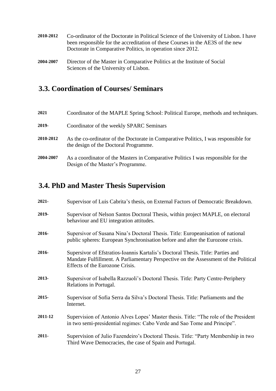- **2010-2012** Co-ordinator of the Doctorate in Political Science of the University of Lisbon. I have been responsible for the accreditation of these Courses in the AE3S of the new Doctorate in Comparative Politics, in operation since 2012.
- **2004-2007** Director of the Master in Comparative Politics at the Institute of Social Sciences of the University of Lisbon.

#### **3.3. Coordination of Courses/ Seminars**

| 2021      | Coordinator of the MAPLE Spring School: Political Europe, methods and techniques.                                            |
|-----------|------------------------------------------------------------------------------------------------------------------------------|
| 2019-     | Coordinator of the weekly SPARC Seminars                                                                                     |
| 2010-2012 | As the co-ordinator of the Doctorate in Comparative Politics, I was responsible for<br>the design of the Doctoral Programme. |
| 2004-2007 | As a coordinator of the Masters in Comparative Politics I was responsible for the<br>Design of the Master's Programme.       |

#### **3.4. PhD and Master Thesis Supervision**

| 2021-   | Supervisor of Luis Cabrita's thesis, on External Factors of Democratic Breakdown.                                                                                                                         |
|---------|-----------------------------------------------------------------------------------------------------------------------------------------------------------------------------------------------------------|
| 2019-   | Supervisor of Nelson Santos Doctoral Thesis, within project MAPLE, on electoral<br>behaviour and EU integration attitudes.                                                                                |
| 2016-   | Supersivor of Susana Nina's Doctoral Thesis. Title: Europeanisation of national<br>public spheres: European Synchronisation before and after the Eurozone crisis.                                         |
| 2016-   | Supersivor of Efstratios-Ioannis Kartalis's Doctoral Thesis. Title: Parties and<br>Mandate Fulfillment. A Parliamentary Perspective on the Assessment of the Political<br>Effects of the Eurozone Crisis. |
| 2013-   | Supersivor of Isabella Razzuoli's Doctoral Thesis. Title: Party Centre-Periphery<br>Relations in Portugal.                                                                                                |
| 2015-   | Supervisor of Sofia Serra da Silva's Doctoral Thesis. Title: Parliaments and the<br>Internet.                                                                                                             |
| 2011-12 | Supervision of Antonio Alves Lopes' Master thesis. Title: "The role of the President<br>in two semi-presidential regimes: Cabo Verde and Sao Tome and Principe".                                          |
| 2011-   | Supervision of Julio Fazendeiro's Doctoral Thesis. Title: "Party Membership in two<br>Third Wave Democracies, the case of Spain and Portugal.                                                             |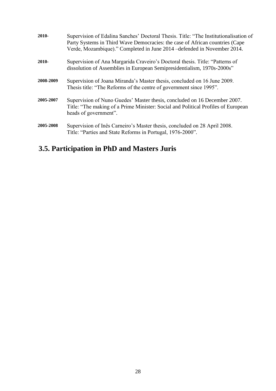| 2010-     | Supervision of Edalina Sanches' Doctoral Thesis. Title: "The Institutionalisation of<br>Party Systems in Third Wave Democracies: the case of African countries (Cape<br>Verde, Mozambique)." Completed in June 2014 – defended in November 2014. |
|-----------|--------------------------------------------------------------------------------------------------------------------------------------------------------------------------------------------------------------------------------------------------|
| $2010 -$  | Supervision of Ana Margarida Craveiro's Doctoral thesis. Title: "Patterns of<br>dissolution of Assemblies in European Semipresidentialism, 1970s-2000s"                                                                                          |
| 2008-2009 | Supervision of Joana Miranda's Master thesis, concluded on 16 June 2009.<br>Thesis title: "The Reforms of the centre of government since 1995".                                                                                                  |
| 2005-2007 | Supervision of Nuno Guedes' Master thesis, concluded on 16 December 2007.<br>Title: "The making of a Prime Minister: Social and Political Profiles of European<br>heads of government".                                                          |
| 2005-2008 | Supervision of Inês Carneiro's Master thesis, concluded on 28 April 2008.<br>Title: "Parties and State Reforms in Portugal, 1976-2000".                                                                                                          |

## **3.5. Participation in PhD and Masters Juris**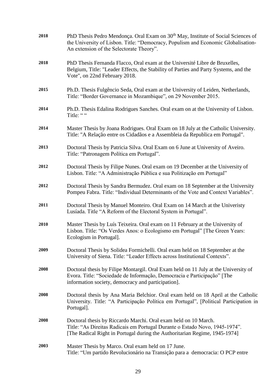| 2018 | PhD Thesis Pedro Mendonça. Oral Exam on 30 <sup>th</sup> May, Institute of Social Sciences of<br>the University of Lisbon. Title: "Democracy, Populism and Economic Globalisation-<br>An extension of the Selectorate Theory". |
|------|--------------------------------------------------------------------------------------------------------------------------------------------------------------------------------------------------------------------------------|
| 2018 | PhD Thesis Fernanda Flacco, Oral exam at the Université Libre de Bruxelles,<br>Belgium, Title: "Leader Effects, the Stability of Parties and Party Systems, and the<br>Vote", on 22nd February 2018.                           |
| 2015 | Ph.D. Thesis Fulgêncio Seda, Oral exam at the University of Leiden, Netherlands,<br>Title: "Border Governance in Mozambique", on 29 November 2015.                                                                             |
| 2014 | Ph.D. Thesis Edalina Rodrigues Sanches. Oral exam on at the University of Lisbon.<br>Title: " "                                                                                                                                |
| 2014 | Master Thesis by Joana Rodrigues. Oral Exam on 18 July at the Catholic University.<br>Title: "A Relação entre os Cidadãos e a Assembleia da Republica em Portugal".                                                            |
| 2013 | Doctoral Thesis by Patricia Silva. Oral Exam on 6 June at University of Aveiro.<br>Title: "Patronagem Política em Portugal".                                                                                                   |
| 2012 | Doctoral Thesis by Filipe Nunes. Oral exam on 19 December at the University of<br>Lisbon. Title: "A Administração Pública e sua Politização em Portugal"                                                                       |
| 2012 | Doctoral Thesis by Sandra Bermudez. Oral exam on 18 September at the University<br>Pompeu Fabra. Title: "Individual Determinants of the Vote and Context Variables".                                                           |
| 2011 | Doctoral Thesis by Manuel Monteiro. Oral Exam on 14 March at the Univeristy<br>Lusíada. Title "A Reform of the Electoral System in Portugal".                                                                                  |
| 2010 | Master Thesis by Luís Teixeira. Oral exam on 11 February at the University of<br>Lisbon. Title: "Os Verdes Anos: o Ecologismo em Portugal" [The Green Years:<br>Ecologism in Portugal].                                        |
| 2009 | Doctoral Thesis by Solidea Formichelli. Oral exam held on 18 September at the<br>University of Siena. Title: "Leader Effects across Institutional Contexts".                                                                   |
| 2008 | Doctoral thesis by Filipe Montargil. Oral Exam held on 11 July at the University of<br>Evora. Title: "Sociedade de Informação, Democracia e Participação" [The<br>information society, democracy and participation].           |
| 2008 | Doctoral thesis by Ana Maria Belchior. Oral exam held on 18 April at the Catholic<br>University. Title: "A Participação Política em Portugal", [Political Participation in<br>Portugal].                                       |
| 2008 | Doctoral thesis by Riccardo Marchi. Oral exam held on 10 March.<br>Title: "As Direitas Radicais em Portugal Durante o Estado Novo, 1945-1974".<br>[The Radical Right in Portugal during the Authoritarian Regime, 1945-1974]   |
| 2003 | Master Thesis by Marco. Oral exam held on 17 June.<br>Title: "Um partido Revolucionário na Transição para a democracia: O PCP entre                                                                                            |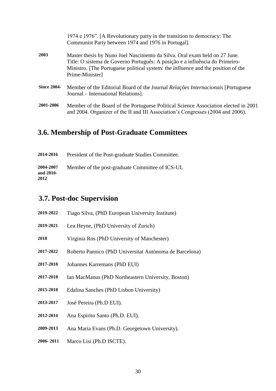|                    | 1974 e 1976". [A Revolutionary party in the transition to democracy: The<br>Communist Party between 1974 and 1976 in Portugal].                                                                                                                                    |
|--------------------|--------------------------------------------------------------------------------------------------------------------------------------------------------------------------------------------------------------------------------------------------------------------|
| 2003               | Master thesis by Nuno Joel Nascimento da Silva. Oral exam held on 27 June.<br>Title: O sistema de Governo Português: A posição e a influência do Primeiro-<br>Ministro. [The Portuguese political system: the influence and the position of the<br>Prime-Minister] |
| <b>Since 2004-</b> | Member of the Editorial Board of the Journal Relações Internacionais [Portuguese]<br>Journal – International Relations.                                                                                                                                            |
| 2001-2006          | Member of the Board of the Portuguese Political Science Association elected in 2001<br>and 2004. Organizer of the II and III Association's Congresses (2004 and 2006).                                                                                             |

## **3.6. Membership of Post-Graduate Committees**

| 2014-2016                      | President of the Post-graduate Studies Committee. |
|--------------------------------|---------------------------------------------------|
| 2004-2007<br>and 2010-<br>2012 | Member of the post-graduate Committee of ICS-UL   |

## **3.7. Post-doc Supervision**

| 2019-2022 | Tiago Silva, (PhD European University Institute)        |
|-----------|---------------------------------------------------------|
| 2019-2021 | Lea Heyne, (PhD University of Zurich)                   |
| 2018      | Virginia Ros (PhD University of Manchester)             |
| 2017-2022 | Roberto Pannico (PhD Universitat Autònoma de Barcelona) |
| 2017-2018 | Johannes Karremans (PhD EUI)                            |
| 2017-2018 | Ian MacManus (PhD Northeastern University, Boston)      |
| 2015-2018 | Edalina Sanches (PhD Lisbon University)                 |
| 2013-2017 | José Pereira (Ph.D EUI).                                |
| 2012-2014 | Ana Espirito Santo (Ph.D. EUI).                         |
| 2009-2013 | Ana Maria Evans (Ph.D. Georgetown University).          |
| 2006-2011 | Marco Lisi (Ph.D ISCTE).                                |
|           |                                                         |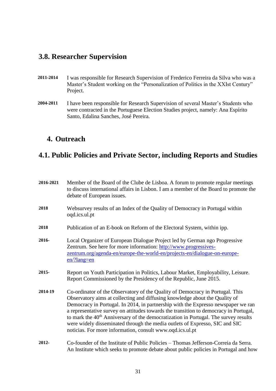#### **3.8. Researcher Supervision**

- **2011-2014** I was responsible for Research Supervision of Frederico Ferreira da Silva who was a Master's Student working on the "Personalization of Politics in the XXIst Century" Project.
- **2004-2011** I have been responsible for Research Supervision of several Master's Students who were contracted in the Portuguese Election Studies project, namely: Ana Espírito Santo, Edalina Sanches, José Pereira.

#### **4. Outreach**

#### **4.1. Public Policies and Private Sector, including Reports and Studies**

| 2016-2021 | Member of the Board of the Clube de Lisboa. A forum to promote regular meetings<br>to discuss international affairs in Lisbon. I am a member of the Board to promote the<br>debate of European issues.                                                                                                                                                                                                                                                                                                                                                                                    |
|-----------|-------------------------------------------------------------------------------------------------------------------------------------------------------------------------------------------------------------------------------------------------------------------------------------------------------------------------------------------------------------------------------------------------------------------------------------------------------------------------------------------------------------------------------------------------------------------------------------------|
| 2018      | Websurvey results of an Index of the Quality of Democracy in Portugal within<br>oqd.ics.ul.pt                                                                                                                                                                                                                                                                                                                                                                                                                                                                                             |
| 2018      | Publication of an E-book on Reform of the Electoral System, within ipp.                                                                                                                                                                                                                                                                                                                                                                                                                                                                                                                   |
| 2016-     | Local Organizer of European Dialogue Project led by German ngo Progressive<br>Zentrum. See here for more information: http://www.progressives-<br>zentrum.org/agenda-en/europe-the-world-en/projects-en/dialogue-on-europe-<br>$en$ /?lang=en                                                                                                                                                                                                                                                                                                                                             |
| 2015-     | Report on Youth Participation in Politics, Labour Market, Employability, Leisure.<br>Report Commissioned by the Presidency of the Republic, June 2015.                                                                                                                                                                                                                                                                                                                                                                                                                                    |
| 2014-19   | Co-ordinator of the Observatory of the Quality of Democracy in Portugal. This<br>Observatory aims at collecting and diffusing knowledge about the Quality of<br>Democracy in Portugal. In 2014, in partnership with the Expresso newspaper we ran<br>a representative survey on attitudes towards the transition to democracy in Portugal,<br>to mark the 40 <sup>th</sup> Anniversary of the democratization in Portugal. The survey results<br>were widely disseminated through the media outlets of Expresso, SIC and SIC<br>noticias. For more information, consult www.oqd.ics.ul.pt |
| 2012-     | Co-founder of the Institute of Public Policies – Thomas Jefferson-Correia da Serra.<br>An Institute which seeks to promote debate about public policies in Portugal and how                                                                                                                                                                                                                                                                                                                                                                                                               |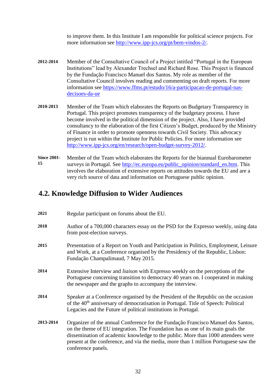to improve them. In this Institute I am responsible for political science projects. For more information see [http://www.ipp-jcs.org/pt/bem-vindos-2/.](http://www.ipp-jcs.org/pt/bem-vindos-2/)

- **2012-2014** Member of the Consultative Council of a Project intitled "Portugal in the European Institutions" lead by Alexander Trechsel and Richard Rose. This Project is financed by the Fundação Francisco Manuel dos Santos. My role as member of the Consultative Council involves reading and commenting on draft reports. For more information see [https://www.ffms.pt/estudo/16/a-participacao-de-portugal-nas](https://www.ffms.pt/estudo/16/a-participacao-de-portugal-nas-decisoes-da-ue)[decisoes-da-ue](https://www.ffms.pt/estudo/16/a-participacao-de-portugal-nas-decisoes-da-ue)
- **2010-2013** Member of the Team which elaborates the Reports on Budgetary Transparency in Portugal. This project promotes transparency of the budgetary process. I have become involved in the political dimension of the project. Also, I have provided consultancy to the elaboration of the first Citizen's Budget, produced by the Ministry of Finance in order to promote openness towards Civil Society. This advocacy project is run within the Institute for Public Policies. For more information see [http://www.ipp-jcs.org/en/research/open-budget-survey-2012/.](http://www.ipp-jcs.org/en/research/open-budget-survey-2012/)
- **Since 2001- 15** Member of the Team which elaborates the Reports for the biannual Eurobarometer surveys in Portugal. See [http://ec.europa.eu/public\\_opinion/standard\\_en.htm.](http://ec.europa.eu/public_opinion/standard_en.htm) This involves the elaboration of extensive reports on attitudes towards the EU and are a very rich source of data and information on Portuguese public opinion.

#### **4.2. Knowledge Diffusion to Wider Audiences**

| 2021      | Regular participant on forums about the EU.                                                                                                                                                                                                                                                                                                                           |
|-----------|-----------------------------------------------------------------------------------------------------------------------------------------------------------------------------------------------------------------------------------------------------------------------------------------------------------------------------------------------------------------------|
| 2018      | Author of a 700,000 characters essay on the PSD for the Expresso weekly, using data<br>from post-election surveys.                                                                                                                                                                                                                                                    |
| 2015      | Presentation of a Report on Youth and Participation in Politics, Employment, Leisure<br>and Work, at a Conference organised by the Presidency of the Republic, Lisbon:<br>Fundação Champalimaud, 7 May 2015.                                                                                                                                                          |
| 2014      | Extensive Interview and <i>liaison</i> with Expresso weekly on the perceptions of the<br>Portuguese concerning transition to democracy 40 years on. I cooperated in making<br>the newspaper and the graphs to accompany the interview.                                                                                                                                |
| 2014      | Speaker at a Conference organised by the President of the Republic on the occasion<br>of the 40 <sup>th</sup> anniversary of democratisation in Portugal. Title of Speech: Political<br>Legacies and the Future of political institutions in Portugal.                                                                                                                |
| 2013-2014 | Organizer of the annual Conference for the Fundação Francisco Manuel dos Santos,<br>on the theme of EU integration. The Foundation has as one of its main goals the<br>dissemination of academic knowledge to the public. More than 1000 attendees were<br>present at the conference, and via the media, more than 1 million Portuguese saw the<br>conference panels. |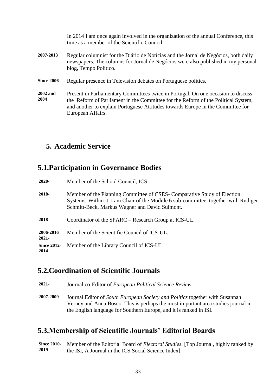|                    | In 2014 I am once again involved in the organization of the annual Conference, this<br>time as a member of the Scientific Council.                                                                |
|--------------------|---------------------------------------------------------------------------------------------------------------------------------------------------------------------------------------------------|
| 2007-2013          | Regular columnist for the Diário de Notícias and the Jornal de Negócios, both daily<br>newspapers. The columns for Jornal de Negócios were also published in my personal<br>blog, Tempo Político. |
| <b>Since 2006-</b> | Regular presence in Television debates on Portuguese politics.                                                                                                                                    |
| 2002 and<br>2004   | Present in Parliamentary Committees twice in Portugal. On one occasion to discuss<br>the Reform of Parliament in the Committee for the Reform of the Political System,                            |

#### **5. Academic Service**

#### **5.1.Participation in Governance Bodies**

| $2020 -$                   | Member of the School Council, ICS                                                                                                                                                                                |
|----------------------------|------------------------------------------------------------------------------------------------------------------------------------------------------------------------------------------------------------------|
| 2018-                      | Member of the Planning Committee of CSES- Comparative Study of Election<br>Systems. Within it, I am Chair of the Module 6 sub-committee, together with Rudiger<br>Schmitt-Beck, Markus Wagner and David Sulmont. |
| 2018-                      | Coordinator of the SPARC – Research Group at ICS-UL.                                                                                                                                                             |
| 2006-2016<br>$2021 -$      | Member of the Scientific Council of ICS-UL.                                                                                                                                                                      |
| <b>Since 2012-</b><br>2014 | Member of the Library Council of ICS-UL.                                                                                                                                                                         |

#### **5.2.Coordination of Scientific Journals**

**2021-** Journal co-Editor of *European Political Science Review*.

**2007-2009** Journal Editor of *South European Society and Politics* together with Susannah Verney and Anna Bosco. This is perhaps the most important area studies journal in the English language for Southern Europe, and it is ranked in ISI.

#### **5.3.Membership of Scientific Journals' Editorial Boards**

**Since 2010- 2019** Member of the Editorial Board of *Electoral Studies*. [Top Journal, highly ranked by the ISI, A Journal in the ICS Social Science Index].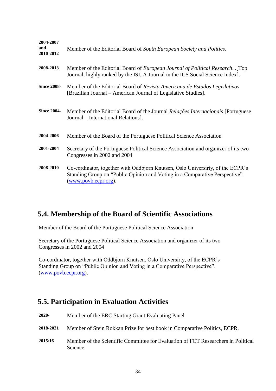| 2004-2007<br>and<br>2010-2012 | Member of the Editorial Board of South European Society and Politics.                                                                                                                 |
|-------------------------------|---------------------------------------------------------------------------------------------------------------------------------------------------------------------------------------|
| 2008-2013                     | Member of the Editorial Board of <i>European Journal of Political Research</i> . [Top<br>Journal, highly ranked by the ISI, A Journal in the ICS Social Science Index].               |
| <b>Since 2008-</b>            | Member of the Editorial Board of Revista Americana de Estudos Legislativos<br>[Brazilian Journal – American Journal of Legislative Studies].                                          |
| <b>Since 2004-</b>            | Member of the Editorial Board of the Journal <i>Relações Internacionais</i> [Portuguese]<br>Journal – International Relations].                                                       |
| 2004-2006                     | Member of the Board of the Portuguese Political Science Association                                                                                                                   |
| 2001-2004                     | Secretary of the Portuguese Political Science Association and organizer of its two<br>Congresses in 2002 and 2004                                                                     |
| 2008-2010                     | Co-cordinator, together with Oddbjorn Knutsen, Oslo Universirty, of the ECPR's<br>Standing Group on "Public Opinion and Voting in a Comparative Perspective".<br>(www.povb.ecpr.org). |

#### **5.4. Membership of the Board of Scientific Associations**

Member of the Board of the Portuguese Political Science Association

Secretary of the Portuguese Political Science Association and organizer of its two Congresses in 2002 and 2004

Co-cordinator, together with Oddbjorn Knutsen, Oslo Universirty, of the ECPR's Standing Group on "Public Opinion and Voting in a Comparative Perspective". [\(www.povb.ecpr.org\)](http://www.povb.ecpr.org/).

#### **5.5. Participation in Evaluation Activities**

| 2020-     | Member of the ERC Starting Grant Evaluating Panel                                             |
|-----------|-----------------------------------------------------------------------------------------------|
| 2018-2021 | Member of Stein Rokkan Prize for best book in Comparative Politics, ECPR.                     |
| 2015/16   | Member of the Scientific Committee for Evaluation of FCT Researchers in Political<br>Science. |